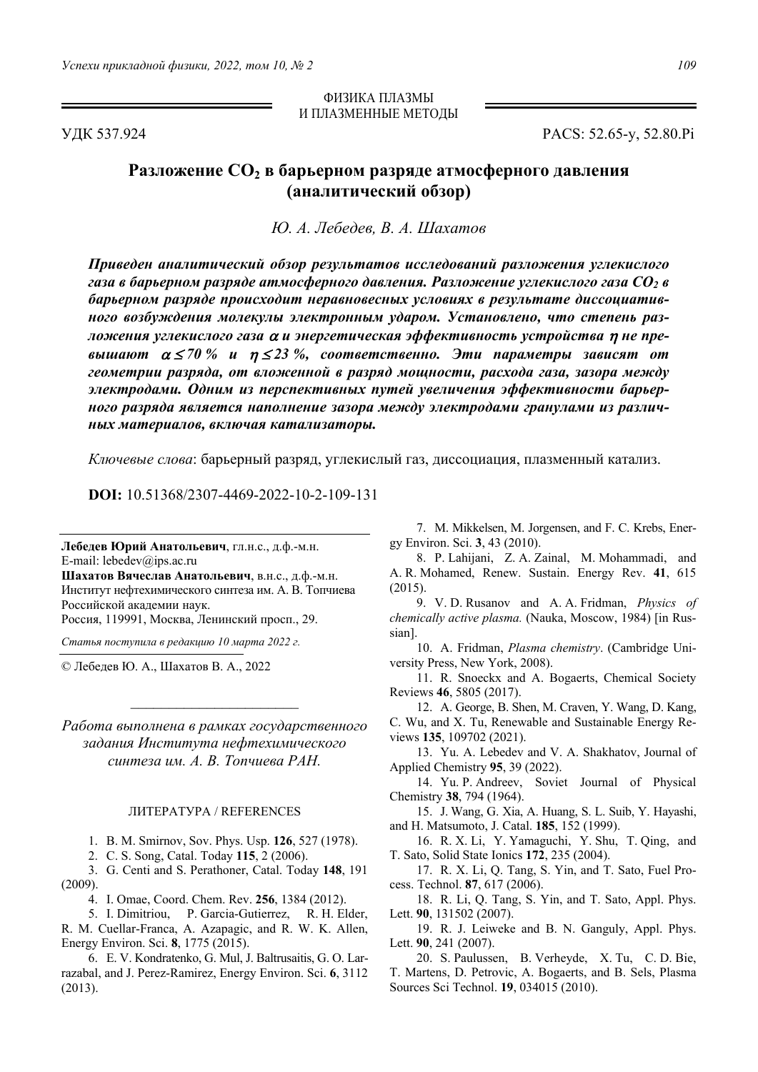ФИЗИКА ПЛАЗМЫ И ПЛАЗМЕННЫЕ МЕТОДЫ

УДК 537.924 PACS: 52.65-y, 52.80.Pi

## **Разложение СО<sup>2</sup> в барьерном разряде атмосферного давления (аналитический обзор)**

*Ю. А. Лебедев, В. А. Шахатов*

*Приведен аналитический обзор результатов исследований разложения углекислого газа в барьерном разряде атмосферного давления. Разложение углекислого газа CO2 в барьерном разряде происходит неравновесных условиях в результате диссоциативного возбуждения молекулы электронным ударом. Установлено, что степень разложения углекислого газа и энергетическая эффективность устройства не превышают 70 % и 23 %, соответственно. Эти параметры зависят от геометрии разряда, от вложенной в разряд мощности, расхода газа, зазора между электродами. Одним из перспективных путей увеличения эффективности барьерного разряда является наполнение зазора между электродами гранулами из различных материалов, включая катализаторы.* 

*Ключевые слова*: барьерный разряд, углекислый газ, диссоциация, плазменный катализ.

**DOI:** 10.51368/2307-4469-2022-10-2-109-131

**Лебедев Юрий Анатольевич**, гл.н.с., д.ф.-м.н. E-mail: lebedev@ips.ac.ru

**Шахатов Вячеслав Анатольевич**, в.н.с., д.ф.-м.н. Институт нефтехимического синтеза им. А. В. Топчиева Российской академии наук.

Россия, 119991, Москва, Ленинский просп., 29.

*Статья поступила в редакцию 10 марта 2022 г.* 

© Лебедев Ю. А., Шахатов В. А., 2022

*Работа выполнена в рамках государственного задания Института нефтехимического синтеза им. А. В. Топчиева РАН.* 

 $\overline{\phantom{a}}$  , where  $\overline{\phantom{a}}$  , where  $\overline{\phantom{a}}$ 

## ЛИТЕРАТУРА / REFERENCES

1. B. M. Smirnov, Sov. Phys. Usp. **126**, 527 (1978).

2. C. S. Song, Catal. Today **115**, 2 (2006).

3. G. Centi and S. Perathoner, Catal. Today **148**, 191 (2009).

4. I. Omae, Coord. Chem. Rev. **256**, 1384 (2012).

5. I. Dimitriou, P. Garcia-Gutierrez, R. H. Elder, R. M. Cuellar-Franca, A. Azapagic, and R. W. K. Allen, Energy Environ. Sci. **8**, 1775 (2015).

6. E. V. Kondratenko, G. Mul, J. Baltrusaitis, G. O. Larrazabal, and J. Perez-Ramirez, Energy Environ. Sci. **6**, 3112 (2013).

7. M. Mikkelsen, M. Jorgensen, and F. C. Krebs, Energy Environ. Sci. **3**, 43 (2010).

8. P. Lahijani, Z. A. Zainal, M. Mohammadi, and A. R. Mohamed, Renew. Sustain. Energy Rev. **41**, 615 (2015).

9. V. D. Rusanov and A. A. Fridman, *Physics of chemically active plasma.* (Nauka, Moscow, 1984) [in Russian].

10. A. Fridman, *Plasma chemistry*. (Cambridge University Press, New York, 2008).

11. R. Snoeckx and A. Bogaerts, Chemical Society Reviews **46**, 5805 (2017).

12. A. George, B. Shen, M. Craven, Y. Wang, D. Kang, C. Wu, and X. Tu, Renewable and Sustainable Energy Reviews **135**, 109702 (2021).

13. Yu. A. Lebedev and V. A. Shakhatov, Journal of Applied Chemistry **95**, 39 (2022).

14. Yu. P. Andreev, Soviet Journal of Physical Chemistry **38**, 794 (1964).

15. J. Wang, G. Xia, A. Huang, S. L. Suib, Y. Hayashi, and H. Matsumoto, J. Catal. **185**, 152 (1999).

16. R. X. Li, Y. Yamaguchi, Y. Shu, T. Qing, and T. Sato, Solid State Ionics **172**, 235 (2004).

17. R. X. Li, Q. Tang, S. Yin, and T. Sato, Fuel Process. Technol. **87**, 617 (2006).

18. R. Li, Q. Tang, S. Yin, and T. Sato, Appl. Phys. Lett. **90**, 131502 (2007).

19. R. J. Leiweke and B. N. Ganguly, Appl. Phys. Lett. **90**, 241 (2007).

20. S. Paulussen, B. Verheyde, X. Tu, C. D. Bie, T. Martens, D. Petrovic, A. Bogaerts, and B. Sels, Plasma Sources Sci Technol. **19**, 034015 (2010).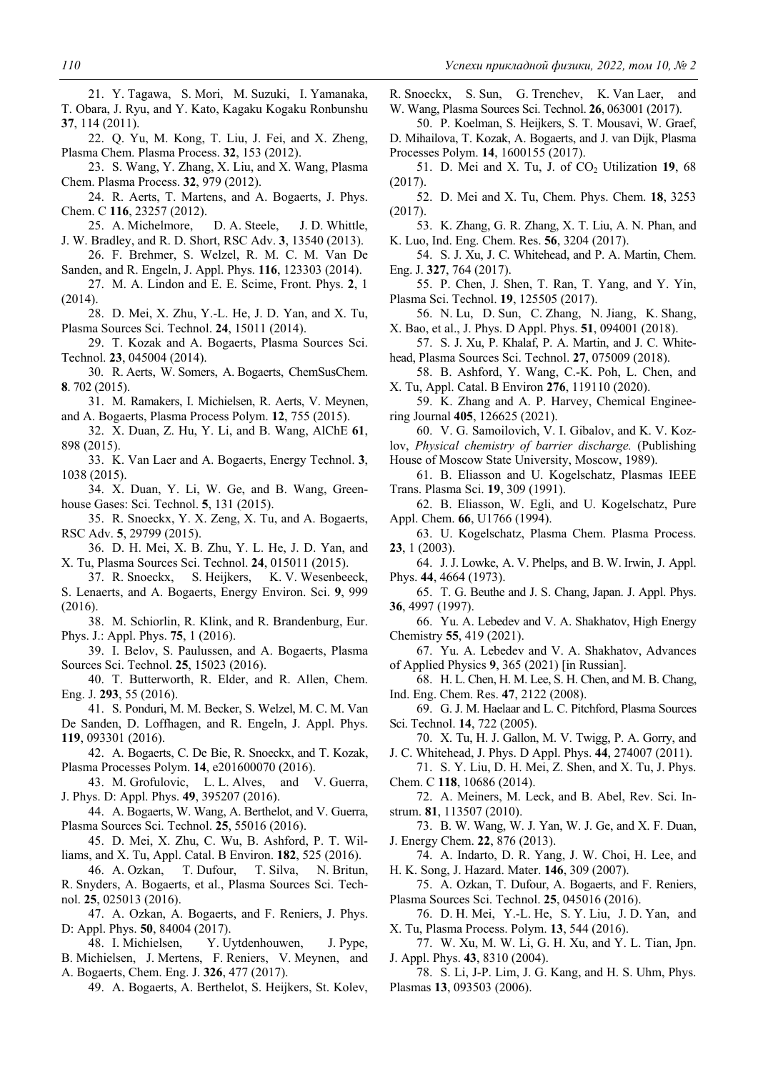21. Y. Tagawa, S. Mori, M. Suzuki, I. Yamanaka, T. Obara, J. Ryu, and Y. Kato, Kagaku Kogaku Ronbunshu **37**, 114 (2011).

- 22. Q. Yu, M. Kong, T. Liu, J. Fei, and X. Zheng, Plasma Chem. Plasma Process. **32**, 153 (2012).
- 23. S. Wang, Y. Zhang, X. Liu, and X. Wang, Plasma Chem. Plasma Process. **32**, 979 (2012).

24. R. Aerts, T. Martens, and A. Bogaerts, J. Phys. Chem. C **116**, 23257 (2012).

- 25. A. Michelmore, D. A. Steele, J. D. Whittle, J. W. Bradley, and R. D. Short, RSC Adv. **3**, 13540 (2013).
- 26. F. Brehmer, S. Welzel, R. M. C. M. Van De Sanden, and R. Engeln, J. Appl. Phys. **116**, 123303 (2014).
- 27. M. A. Lindon and E. E. Scime, Front. Phys. **2**, 1 (2014).
- 28. D. Mei, X. Zhu, Y.-L. He, J. D. Yan, and X. Tu, Plasma Sources Sci. Technol. **24**, 15011 (2014).
- 29. T. Kozak and A. Bogaerts, Plasma Sources Sci. Technol. **23**, 045004 (2014).

30. R. Aerts, W. Somers, A. Bogaerts, ChemSusChem. **8**. 702 (2015).

- 31. M. Ramakers, I. Michielsen, R. Aerts, V. Meynen, and A. Bogaerts, Plasma Process Polym. **12**, 755 (2015).
- 32. X. Duan, Z. Hu, Y. Li, and B. Wang, AlChE **61**, 898 (2015).

33. K. Van Laer and A. Bogaerts, Energy Technol. **3**, 1038 (2015).

- 34. X. Duan, Y. Li, W. Ge, and B. Wang, Greenhouse Gases: Sci. Technol. **5**, 131 (2015).
- 35. R. Snoeckx, Y. X. Zeng, X. Tu, and A. Bogaerts, RSC Adv. **5**, 29799 (2015).

36. D. H. Mei, X. B. Zhu, Y. L. He, J. D. Yan, and X. Tu, Plasma Sources Sci. Technol. **24**, 015011 (2015).

37. R. Snoeckx, S. Heijkers, K. V. Wesenbeeck, S. Lenaerts, and A. Bogaerts, Energy Environ. Sci. **9**, 999 (2016).

- 38. M. Schiorlin, R. Klink, and R. Brandenburg, Eur. Phys. J.: Appl. Phys. **75**, 1 (2016).
- 39. I. Belov, S. Paulussen, and A. Bogaerts, Plasma Sources Sci. Technol. **25**, 15023 (2016).

40. T. Butterworth, R. Elder, and R. Allen, Chem. Eng. J. **293**, 55 (2016).

41. S. Ponduri, M. M. Becker, S. Welzel, M. C. M. Van

De Sanden, D. Loffhagen, and R. Engeln, J. Appl. Phys. **119**, 093301 (2016).

42. A. Bogaerts, C. De Bie, R. Snoeckx, and T. Kozak, Plasma Processes Polym. **14**, e201600070 (2016).

43. M. Grofulovic, L. L. Alves, and V. Guerra, J. Phys. D: Appl. Phys. **49**, 395207 (2016).

44. A. Bogaerts, W. Wang, A. Berthelot, and V. Guerra, Plasma Sources Sci. Technol. **25**, 55016 (2016).

45. D. Mei, X. Zhu, C. Wu, B. Ashford, P. T. Williams, and X. Tu, Appl. Catal. B Environ. **182**, 525 (2016).

46. A. Ozkan, T. Dufour, T. Silva, N. Britun, R. Snyders, A. Bogaerts, et al., Plasma Sources Sci. Technol. **25**, 025013 (2016).

47. A. Ozkan, A. Bogaerts, and F. Reniers, J. Phys. D: Appl. Phys. **50**, 84004 (2017).

48. I. Michielsen, Y. Uytdenhouwen, J. Pype, B. Michielsen, J. Mertens, F. Reniers, V. Meynen, and A. Bogaerts, Chem. Eng. J. **326**, 477 (2017).

49. A. Bogaerts, A. Berthelot, S. Heijkers, St. Kolev,

R. Snoeckx, S. Sun, G. Trenchev, K. Van Laer, and W. Wang, Plasma Sources Sci. Technol. **26**, 063001 (2017).

50. P. Koelman, S. Heijkers, S. T. Mousavi, W. Graef, D. Mihailova, T. Kozak, A. Bogaerts, and J. van Dijk, Plasma Processes Polym. **14**, 1600155 (2017).

51. D. Mei and X. Tu, J. of  $CO<sub>2</sub>$  Utilization 19, 68 (2017).

52. D. Mei and X. Tu, Chem. Phys. Chem. **18**, 3253 (2017).

53. K. Zhang, G. R. Zhang, X. T. Liu, A. N. Phan, and K. Luo, Ind. Eng. Chem. Res. **56**, 3204 (2017).

54. S. J. Xu, J. C. Whitehead, and P. A. Martin, Chem. Eng. J. **327**, 764 (2017).

55. P. Chen, J. Shen, T. Ran, T. Yang, and Y. Yin, Plasma Sci. Technol. **19**, 125505 (2017).

56. N. Lu, D. Sun, C. Zhang, N. Jiang, K. Shang, X. Bao, et al., J. Phys. D Appl. Phys. **51**, 094001 (2018).

57. S. J. Xu, P. Khalaf, P. A. Martin, and J. C. Whitehead, Plasma Sources Sci. Technol. **27**, 075009 (2018).

58. B. Ashford, Y. Wang, C.-K. Poh, L. Chen, and X. Tu, Appl. Catal. B Environ **276**, 119110 (2020).

59. K. Zhang and A. P. Harvey, Chemical Engineering Journal **405**, 126625 (2021).

60. V. G. Samoilovich, V. I. Gibalov, and K. V. Kozlov, *Physical chemistry of barrier discharge.* (Publishing House of Moscow State University, Moscow, 1989).

61. B. Eliasson and U. Kogelschatz, Plasmas IEEE

Trans. Plasma Sci. **19**, 309 (1991).

62. B. Eliasson, W. Egli, and U. Kogelschatz, Pure Appl. Chem. **66**, U1766 (1994).

63. U. Kogelschatz, Plasma Chem. Plasma Process. **23**, 1 (2003).

64. J. J. Lowke, A. V. Phelps, and B. W. Irwin, J. Appl. Phys. **44**, 4664 (1973).

65. T. G. Beuthe and J. S. Chang, Japan. J. Appl. Phys. **36**, 4997 (1997).

66. Yu. A. Lebedev and V. A. Shakhatov, High Energy Chemistry **55**, 419 (2021).

67. Yu. A. Lebedev and V. A. Shakhatov, Advances of Applied Physics **9**, 365 (2021) [in Russian].

68. H. L. Chen, H. M. Lee, S. H. Chen, and M. B. Chang, Ind. Eng. Chem. Res. **47**, 2122 (2008).

69. G. J. M. Haelaar and L. C. Pitchford, Plasma Sources Sci. Technol. **14**, 722 (2005).

70. X. Tu, H. J. Gallon, M. V. Twigg, P. A. Gorry, and J. C. Whitehead, J. Phys. D Appl. Phys. **44**, 274007 (2011).

71. S. Y. Liu, D. H. Mei, Z. Shen, and X. Tu, J. Phys. Chem. C **118**, 10686 (2014).

72. A. Meiners, M. Leck, and B. Abel, Rev. Sci. Instrum. **81**, 113507 (2010).

73. B. W. Wang, W. J. Yan, W. J. Ge, and X. F. Duan, J. Energy Chem. **22**, 876 (2013).

74. A. Indarto, D. R. Yang, J. W. Choi, H. Lee, and H. K. Song, J. Hazard. Mater. **146**, 309 (2007).

75. A. Ozkan, T. Dufour, A. Bogaerts, and F. Reniers, Plasma Sources Sci. Technol. **25**, 045016 (2016).

76. D. H. Mei, Y.-L. He, S. Y. Liu, J. D. Yan, and X. Tu, Plasma Process. Polym. **13**, 544 (2016).

77. W. Xu, M. W. Li, G. H. Xu, and Y. L. Tian, Jpn. J. Appl. Phys. **43**, 8310 (2004).

78. S. Li, J-P. Lim, J. G. Kang, and H. S. Uhm, Phys. Plasmas **13**, 093503 (2006).